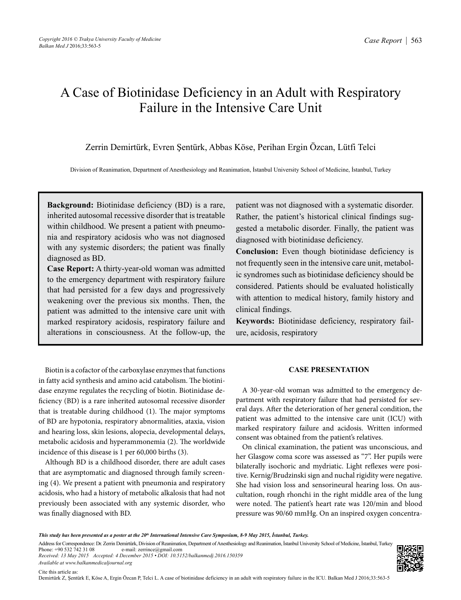# A Case of Biotinidase Deficiency in an Adult with Respiratory Failure in the Intensive Care Unit

## Zerrin Demirtürk, Evren Şentürk, Abbas Köse, Perihan Ergin Özcan, Lütfi Telci

Division of Reanimation, Department of Anesthesiology and Reanimation, İstanbul University School of Medicine, İstanbul, Turkey

**Background:** Biotinidase deficiency (BD) is a rare, inherited autosomal recessive disorder that is treatable within childhood. We present a patient with pneumonia and respiratory acidosis who was not diagnosed with any systemic disorders; the patient was finally diagnosed as BD.

**Case Report:** A thirty-year-old woman was admitted to the emergency department with respiratory failure that had persisted for a few days and progressively weakening over the previous six months. Then, the patient was admitted to the intensive care unit with marked respiratory acidosis, respiratory failure and alterations in consciousness. At the follow-up, the patient was not diagnosed with a systematic disorder. Rather, the patient's historical clinical findings suggested a metabolic disorder. Finally, the patient was diagnosed with biotinidase deficiency.

**Conclusion:** Even though biotinidase deficiency is not frequently seen in the intensive care unit, metabolic syndromes such as biotinidase deficiency should be considered. Patients should be evaluated holistically with attention to medical history, family history and clinical findings.

**Keywords:** Biotinidase deficiency, respiratory failure, acidosis, respiratory

### **CASE PRESENTATION**

Biotin is a cofactor of the carboxylase enzymes that functions in fatty acid synthesis and amino acid catabolism. The biotinidase enzyme regulates the recycling of biotin. Biotinidase deficiency (BD) is a rare inherited autosomal recessive disorder that is treatable during childhood (1). The major symptoms of BD are hypotonia, respiratory abnormalities, ataxia, vision and hearing loss, skin lesions, alopecia, developmental delays, metabolic acidosis and hyperammonemia (2). The worldwide incidence of this disease is 1 per 60,000 births (3).

Although BD is a childhood disorder, there are adult cases that are asymptomatic and diagnosed through family screening (4). We present a patient with pneumonia and respiratory acidosis, who had a history of metabolic alkalosis that had not previously been associated with any systemic disorder, who was finally diagnosed with BD.

A 30-year-old woman was admitted to the emergency department with respiratory failure that had persisted for several days. After the deterioration of her general condition, the patient was admitted to the intensive care unit (ICU) with marked respiratory failure and acidosis. Written informed consent was obtained from the patient's relatives.

On clinical examination, the patient was unconscious, and her Glasgow coma score was assessed as "7". Her pupils were bilaterally isochoric and mydriatic. Light reflexes were positive. Kernig/Brudzinski sign and nuchal rigidity were negative. She had vision loss and sensorineural hearing loss. On auscultation, rough rhonchi in the right middle area of the lung were noted. The patient's heart rate was 120/min and blood pressure was 90/60 mmHg. On an inspired oxygen concentra-

*This study has been presented as a poster at the 20th International Intensive Care Symposium, 8-9 May 2015, İstanbul, Turkey.*

Address for Correspondence: Dr. Zerrin Demirtürk, Division of Reanimation, Department of Anesthesiology and Reanimation, İstanbul University School of Medicine, İstanbul, Turkey<br>Phone: +90 532 742 31 08 e-mail: zerrince@gm e-mail: zerrince@gmail.com

*Received: 13 May 2015 Accepted: 4 December 2015 • DOI: 10.5152/balkanmedj.2016.150359 Available at www.balkanmedicaljournal.org*

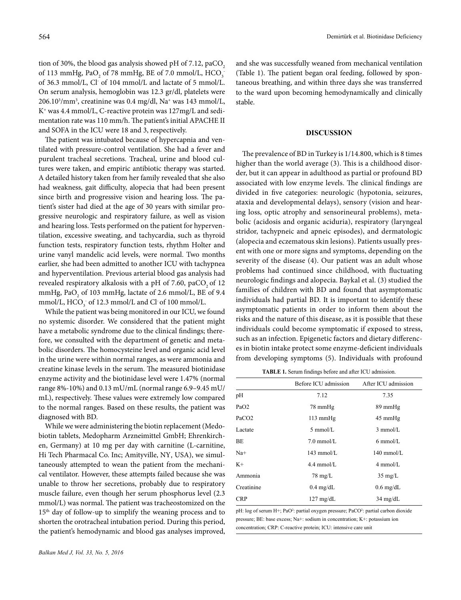tion of 30%, the blood gas analysis showed pH of 7.12, paCO<sub>2</sub> of 113 mmHg,  $PaO<sub>2</sub>$  of 78 mmHg, BE of 7.0 mmol/L, HCO<sub>3</sub> of 36.3 mmol/L, Cl- of 104 mmol/L and lactate of 5 mmol/L. On serum analysis, hemoglobin was 12.3 gr/dl, platelets were 206.103 /mm3 , creatinine was 0.4 mg/dl, Na+ was 143 mmol/L, K+ was 4.4 mmol/L, C-reactive protein was 127mg/L and sedimentation rate was 110 mm/h. The patient's initial APACHE II and SOFA in the ICU were 18 and 3, respectively.

The patient was intubated because of hypercapnia and ventilated with pressure-control ventilation. She had a fever and purulent tracheal secretions. Tracheal, urine and blood cultures were taken, and empiric antibiotic therapy was started. A detailed history taken from her family revealed that she also had weakness, gait difficulty, alopecia that had been present since birth and progressive vision and hearing loss. The patient's sister had died at the age of 30 years with similar progressive neurologic and respiratory failure, as well as vision and hearing loss. Tests performed on the patient for hyperventilation, excessive sweating, and tachycardia, such as thyroid function tests, respiratory function tests, rhythm Holter and urine vanyl mandelic acid levels, were normal. Two months earlier, she had been admitted to another ICU with tachypnea and hyperventilation. Previous arterial blood gas analysis had revealed respiratory alkalosis with a pH of 7.60, paCO<sub>2</sub> of 12 mmHg, PaO<sub>2</sub> of 103 mmHg, lactate of 2.6 mmol/L, BE of 9.4 mmol/L,  $HCO_3$  of 12.3 mmol/L and Cl of 100 mmol/L.

While the patient was being monitored in our ICU, we found no systemic disorder. We considered that the patient might have a metabolic syndrome due to the clinical findings; therefore, we consulted with the department of genetic and metabolic disorders. The homocysteine level and organic acid level in the urine were within normal ranges, as were ammonia and creatine kinase levels in the serum. The measured biotinidase enzyme activity and the biotinidase level were 1.47% (normal range 8%-10%) and 0.13 mU/mL (normal range 6.9–9.45 mU/ mL), respectively. These values were extremely low compared to the normal ranges. Based on these results, the patient was diagnosed with BD.

While we were administering the biotin replacement (Medobiotin tablets, Medopharm Arzneimittel GmbH; Ehrenkirchen, Germany) at 10 mg per day with carnitine (L-carnitine, Hi Tech Pharmacal Co. Inc; Amityville, NY, USA), we simultaneously attempted to wean the patient from the mechanical ventilator. However, these attempts failed because she was unable to throw her secretions, probably due to respiratory muscle failure, even though her serum phosphorus level (2.3 mmol/L) was normal. The patient was tracheostomized on the 15<sup>th</sup> day of follow-up to simplify the weaning process and to shorten the orotracheal intubation period. During this period, the patient's hemodynamic and blood gas analyses improved,

and she was successfully weaned from mechanical ventilation (Table 1). The patient began oral feeding, followed by spontaneous breathing, and within three days she was transferred to the ward upon becoming hemodynamically and clinically stable.

#### **DISCUSSION**

The prevalence of BD in Turkey is 1/14.800, which is 8 times higher than the world average (3). This is a childhood disorder, but it can appear in adulthood as partial or profound BD associated with low enzyme levels. The clinical findings are divided in five categories: neurologic (hypotonia, seizures, ataxia and developmental delays), sensory (vision and hearing loss, optic atrophy and sensorineural problems), metabolic (acidosis and organic aciduria), respiratory (laryngeal stridor, tachypneic and apneic episodes), and dermatologic (alopecia and eczematous skin lesions). Patients usually present with one or more signs and symptoms, depending on the severity of the disease (4). Our patient was an adult whose problems had continued since childhood, with fluctuating neurologic findings and alopecia. Baykal et al. (3) studied the families of children with BD and found that asymptomatic individuals had partial BD. It is important to identify these asymptomatic patients in order to inform them about the risks and the nature of this disease, as it is possible that these individuals could become symptomatic if exposed to stress, such as an infection. Epigenetic factors and dietary differences in biotin intake protect some enzyme-deficient individuals from developing symptoms (5). Individuals with profound

**TABLE 1.** Serum findings before and after ICU admission.

|                   | Before ICU admission | After ICU admission |
|-------------------|----------------------|---------------------|
| pН                | 7.12                 | 7.35                |
| PaO <sub>2</sub>  | 78 mmHg              | 89 mmHg             |
| PaCO <sub>2</sub> | $113 \text{ mmHg}$   | 45 mmHg             |
| Lactate           | $5 \text{ mmol/L}$   | $3 \text{ mmol/L}$  |
| BE                | $7.0 \text{ mmol/L}$ | $6 \text{ mmol/L}$  |
| Na+               | $143$ mmol/L         | $140$ mmol/L        |
| $K+$              | $4.4 \text{ mmol/L}$ | $4 \text{ mmol/L}$  |
| Ammonia           | $78 \text{ mg/L}$    | $35 \text{ mg/L}$   |
| Creatinine        | $0.4 \text{ mg/dL}$  | $0.6$ mg/dL         |
| <b>CRP</b>        | $127 \text{ mg/dL}$  | $34 \text{ mg/dL}$  |

pH: log of serum H+; PaO<sup>2</sup>: partial oxygen pressure; PaCO<sup>2</sup>: partial carbon dioxide pressure; BE: base excess; Na+: sodium in concentration; K+: potassium ion concentration; CRP: C-reactive protein; ICU: intensive care unit